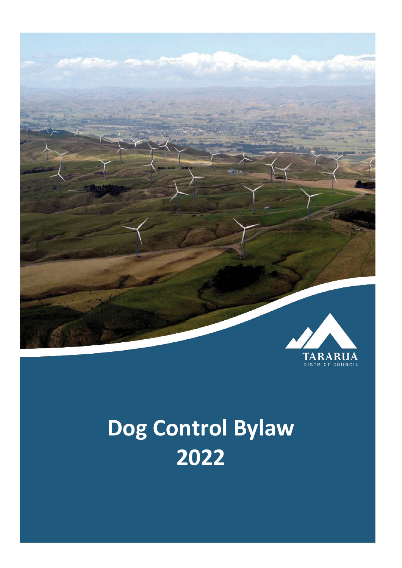

# **Dog Control Bylaw 2022**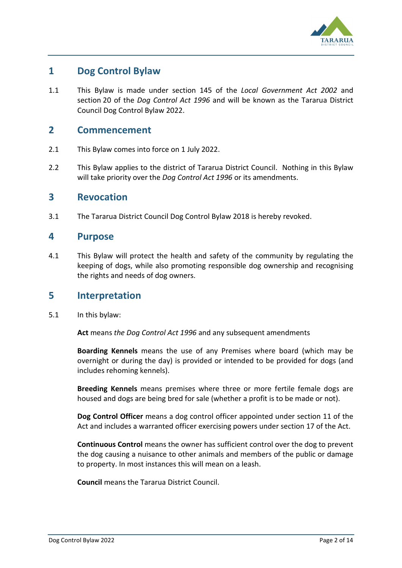

# **1 Dog Control Bylaw**

1.1 This Bylaw is made under section 145 of the *Local Government Act 2002* and section 20 of the *Dog Control Act 1996* and will be known as the Tararua District Council Dog Control Bylaw 2022.

## **2 Commencement**

- 2.1 This Bylaw comes into force on 1 July 2022.
- 2.2 This Bylaw applies to the district of Tararua District Council. Nothing in this Bylaw will take priority over the *Dog Control Act 1996* or its amendments.

#### **3 Revocation**

3.1 The Tararua District Council Dog Control Bylaw 2018 is hereby revoked.

#### **4 Purpose**

4.1 This Bylaw will protect the health and safety of the community by regulating the keeping of dogs, while also promoting responsible dog ownership and recognising the rights and needs of dog owners.

#### **5 Interpretation**

5.1 In this bylaw:

**Act** means *the Dog Control Act 1996* and any subsequent amendments

**Boarding Kennels** means the use of any Premises where board (which may be overnight or during the day) is provided or intended to be provided for dogs (and includes rehoming kennels).

**Breeding Kennels** means premises where three or more fertile female dogs are housed and dogs are being bred for sale (whether a profit is to be made or not).

**Dog Control Officer** means a dog control officer appointed under section 11 of the Act and includes a warranted officer exercising powers under section 17 of the Act.

**Continuous Control** means the owner has sufficient control over the dog to prevent the dog causing a nuisance to other animals and members of the public or damage to property. In most instances this will mean on a leash.

**Council** means the Tararua District Council.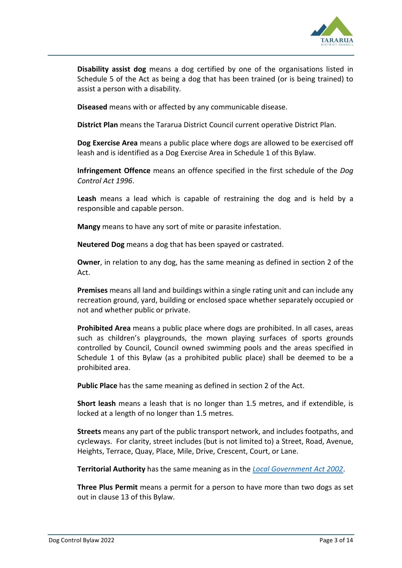

**Disability assist dog** means a dog certified by one of the organisations listed in Schedule 5 of the Act as being a dog that has been trained (or is being trained) to assist a person with a disability.

**Diseased** means with or affected by any communicable disease.

**District Plan** means the Tararua District Council current operative District Plan.

**Dog Exercise Area** means a public place where dogs are allowed to be exercised off leash and is identified as a Dog Exercise Area in Schedule 1 of this Bylaw.

**Infringement Offence** means an offence specified in the first schedule of the *Dog Control Act 1996*.

**Leash** means a lead which is capable of restraining the dog and is held by a responsible and capable person.

**Mangy** means to have any sort of mite or parasite infestation.

**Neutered Dog** means a dog that has been spayed or castrated.

**Owner**, in relation to any dog, has the same meaning as defined in section 2 of the Act.

**Premises** means all land and buildings within a single rating unit and can include any recreation ground, yard, building or enclosed space whether separately occupied or not and whether public or private.

**Prohibited Area** means a public place where dogs are prohibited. In all cases, areas such as children's playgrounds, the mown playing surfaces of sports grounds controlled by Council, Council owned swimming pools and the areas specified in Schedule 1 of this Bylaw (as a prohibited public place) shall be deemed to be a prohibited area.

**Public Place** has the same meaning as defined in section 2 of the Act.

**Short leash** means a leash that is no longer than 1.5 metres, and if extendible, is locked at a length of no longer than 1.5 metres.

**Streets** means any part of the public transport network, and includes footpaths, and cycleways. For clarity, street includes (but is not limited to) a Street, Road, Avenue, Heights, Terrace, Quay, Place, Mile, Drive, Crescent, Court, or Lane.

**Territorial Authority** has the same meaning as in the *[Local Government Act 2002](http://www.legislation.govt.nz/act/public/1996/0013/latest/link.aspx?id=DLM170872)*.

**Three Plus Permit** means a permit for a person to have more than two dogs as set out in clause 13 of this Bylaw.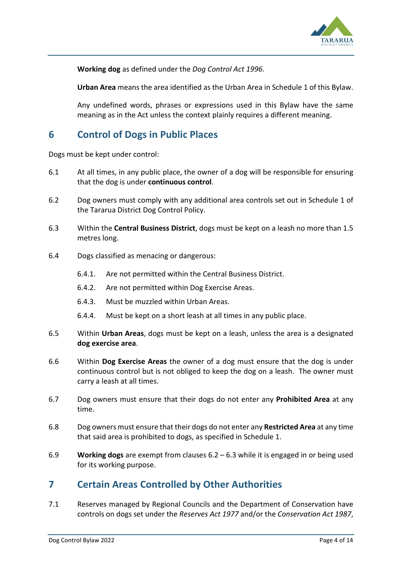

**Working dog** as defined under the *Dog Control Act 1996*.

**Urban Area** means the area identified as the Urban Area in Schedule 1 of this Bylaw.

Any undefined words, phrases or expressions used in this Bylaw have the same meaning as in the Act unless the context plainly requires a different meaning.

# **6 Control of Dogs in Public Places**

Dogs must be kept under control:

- 6.1 At all times, in any public place, the owner of a dog will be responsible for ensuring that the dog is under **continuous control**.
- 6.2 Dog owners must comply with any additional area controls set out in Schedule 1 of the Tararua District Dog Control Policy.
- 6.3 Within the **Central Business District**, dogs must be kept on a leash no more than 1.5 metres long.
- 6.4 Dogs classified as menacing or dangerous:
	- 6.4.1. Are not permitted within the Central Business District.
	- 6.4.2. Are not permitted within Dog Exercise Areas.
	- 6.4.3. Must be muzzled within Urban Areas.
	- 6.4.4. Must be kept on a short leash at all times in any public place.
- 6.5 Within **Urban Areas**, dogs must be kept on a leash, unless the area is a designated **dog exercise area**.
- 6.6 Within **Dog Exercise Areas** the owner of a dog must ensure that the dog is under continuous control but is not obliged to keep the dog on a leash. The owner must carry a leash at all times.
- 6.7 Dog owners must ensure that their dogs do not enter any **Prohibited Area** at any time.
- 6.8 Dog owners must ensure that their dogs do not enter any **Restricted Area** at any time that said area is prohibited to dogs, as specified in Schedule 1.
- 6.9 **Working dogs** are exempt from clauses 6.2 6.3 while it is engaged in or being used for its working purpose.

## **7 Certain Areas Controlled by Other Authorities**

7.1 Reserves managed by Regional Councils and the Department of Conservation have controls on dogs set under the *Reserves Act 1977* and/or the *Conservation Act 1987*,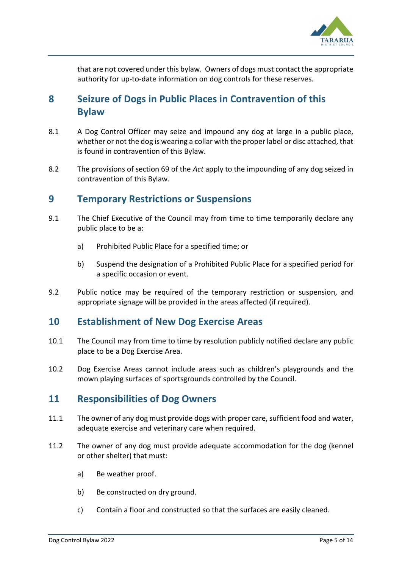

that are not covered under this bylaw. Owners of dogs must contact the appropriate authority for up-to-date information on dog controls for these reserves.

# **8 Seizure of Dogs in Public Places in Contravention of this Bylaw**

- 8.1 A Dog Control Officer may seize and impound any dog at large in a public place, whether or not the dog is wearing a collar with the proper label or disc attached, that is found in contravention of this Bylaw.
- 8.2 The provisions of section 69 of the *Act* apply to the impounding of any dog seized in contravention of this Bylaw.

#### **9 Temporary Restrictions or Suspensions**

- 9.1 The Chief Executive of the Council may from time to time temporarily declare any public place to be a:
	- a) Prohibited Public Place for a specified time; or
	- b) Suspend the designation of a Prohibited Public Place for a specified period for a specific occasion or event.
- 9.2 Public notice may be required of the temporary restriction or suspension, and appropriate signage will be provided in the areas affected (if required).

## **10 Establishment of New Dog Exercise Areas**

- 10.1 The Council may from time to time by resolution publicly notified declare any public place to be a Dog Exercise Area.
- 10.2 Dog Exercise Areas cannot include areas such as children's playgrounds and the mown playing surfaces of sportsgrounds controlled by the Council.

## **11 Responsibilities of Dog Owners**

- 11.1 The owner of any dog must provide dogs with proper care, sufficient food and water, adequate exercise and veterinary care when required.
- 11.2 The owner of any dog must provide adequate accommodation for the dog (kennel or other shelter) that must:
	- a) Be weather proof.
	- b) Be constructed on dry ground.
	- c) Contain a floor and constructed so that the surfaces are easily cleaned.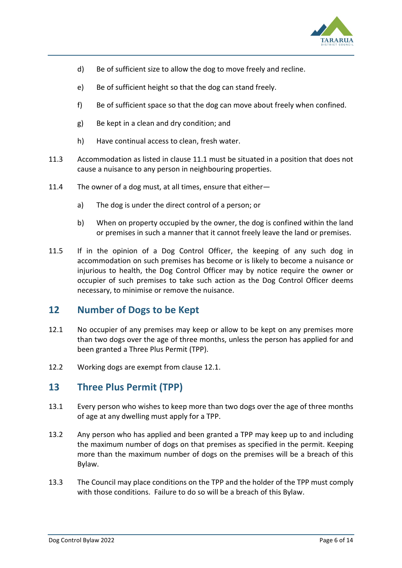

- d) Be of sufficient size to allow the dog to move freely and recline.
- e) Be of sufficient height so that the dog can stand freely.
- f) Be of sufficient space so that the dog can move about freely when confined.
- g) Be kept in a clean and dry condition; and
- h) Have continual access to clean, fresh water.
- 11.3 Accommodation as listed in clause 11.1 must be situated in a position that does not cause a nuisance to any person in neighbouring properties.
- 11.4 The owner of a dog must, at all times, ensure that either
	- a) The dog is under the direct control of a person; or
	- b) When on property occupied by the owner, the dog is confined within the land or premises in such a manner that it cannot freely leave the land or premises.
- 11.5 If in the opinion of a Dog Control Officer, the keeping of any such dog in accommodation on such premises has become or is likely to become a nuisance or injurious to health, the Dog Control Officer may by notice require the owner or occupier of such premises to take such action as the Dog Control Officer deems necessary, to minimise or remove the nuisance.

## **12 Number of Dogs to be Kept**

- 12.1 No occupier of any premises may keep or allow to be kept on any premises more than two dogs over the age of three months, unless the person has applied for and been granted a Three Plus Permit (TPP).
- 12.2 Working dogs are exempt from clause 12.1.

# **13 Three Plus Permit (TPP)**

- 13.1 Every person who wishes to keep more than two dogs over the age of three months of age at any dwelling must apply for a TPP.
- 13.2 Any person who has applied and been granted a TPP may keep up to and including the maximum number of dogs on that premises as specified in the permit. Keeping more than the maximum number of dogs on the premises will be a breach of this Bylaw.
- 13.3 The Council may place conditions on the TPP and the holder of the TPP must comply with those conditions. Failure to do so will be a breach of this Bylaw.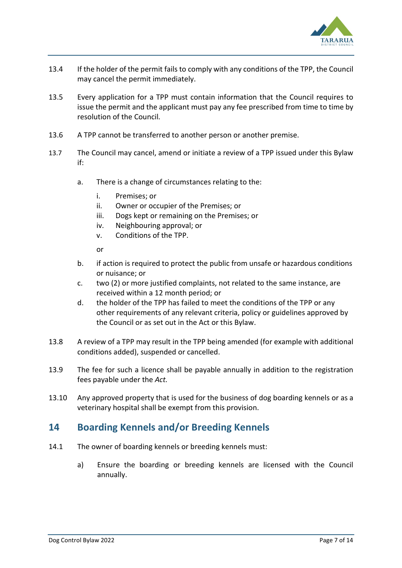

- 13.4 If the holder of the permit fails to comply with any conditions of the TPP, the Council may cancel the permit immediately.
- 13.5 Every application for a TPP must contain information that the Council requires to issue the permit and the applicant must pay any fee prescribed from time to time by resolution of the Council.
- 13.6 A TPP cannot be transferred to another person or another premise.
- 13.7 The Council may cancel, amend or initiate a review of a TPP issued under this Bylaw if:
	- a. There is a change of circumstances relating to the:
		- i. Premises; or
		- ii. Owner or occupier of the Premises; or
		- iii. Dogs kept or remaining on the Premises; or
		- iv. Neighbouring approval; or
		- v. Conditions of the TPP.

or

- b. if action is required to protect the public from unsafe or hazardous conditions or nuisance; or
- c. two (2) or more justified complaints, not related to the same instance, are received within a 12 month period; or
- d. the holder of the TPP has failed to meet the conditions of the TPP or any other requirements of any relevant criteria, policy or guidelines approved by the Council or as set out in the Act or this Bylaw.
- 13.8 A review of a TPP may result in the TPP being amended (for example with additional conditions added), suspended or cancelled.
- 13.9 The fee for such a licence shall be payable annually in addition to the registration fees payable under the *Act.*
- 13.10 Any approved property that is used for the business of dog boarding kennels or as a veterinary hospital shall be exempt from this provision.

# **14 Boarding Kennels and/or Breeding Kennels**

- 14.1 The owner of boarding kennels or breeding kennels must:
	- a) Ensure the boarding or breeding kennels are licensed with the Council annually.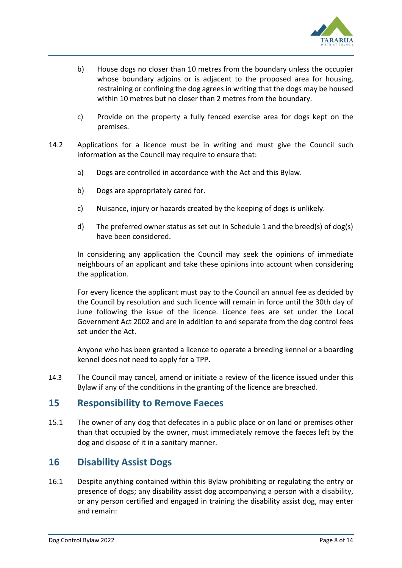

- b) House dogs no closer than 10 metres from the boundary unless the occupier whose boundary adjoins or is adjacent to the proposed area for housing, restraining or confining the dog agrees in writing that the dogs may be housed within 10 metres but no closer than 2 metres from the boundary.
- c) Provide on the property a fully fenced exercise area for dogs kept on the premises.
- 14.2 Applications for a licence must be in writing and must give the Council such information as the Council may require to ensure that:
	- a) Dogs are controlled in accordance with the Act and this Bylaw.
	- b) Dogs are appropriately cared for.
	- c) Nuisance, injury or hazards created by the keeping of dogs is unlikely.
	- d) The preferred owner status as set out in Schedule 1 and the breed(s) of dog(s) have been considered.

In considering any application the Council may seek the opinions of immediate neighbours of an applicant and take these opinions into account when considering the application.

For every licence the applicant must pay to the Council an annual fee as decided by the Council by resolution and such licence will remain in force until the 30th day of June following the issue of the licence. Licence fees are set under the Local Government Act 2002 and are in addition to and separate from the dog control fees set under the Act.

Anyone who has been granted a licence to operate a breeding kennel or a boarding kennel does not need to apply for a TPP.

14.3 The Council may cancel, amend or initiate a review of the licence issued under this Bylaw if any of the conditions in the granting of the licence are breached.

#### **15 Responsibility to Remove Faeces**

15.1 The owner of any dog that defecates in a public place or on land or premises other than that occupied by the owner, must immediately remove the faeces left by the dog and dispose of it in a sanitary manner.

# **16 Disability Assist Dogs**

16.1 Despite anything contained within this Bylaw prohibiting or regulating the entry or presence of dogs; any disability assist dog accompanying a person with a disability, or any person certified and engaged in training the disability assist dog, may enter and remain: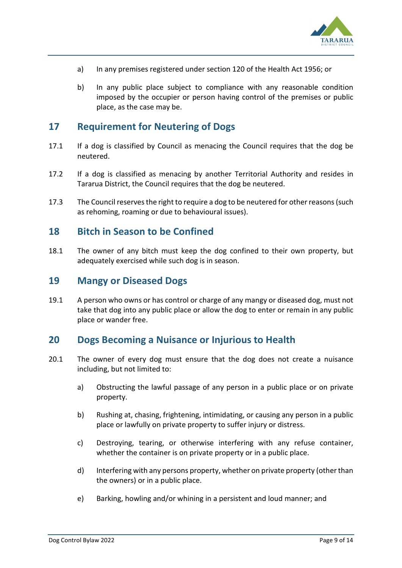

- a) In any premises registered under section 120 of the Health Act 1956; or
- b) In any public place subject to compliance with any reasonable condition imposed by the occupier or person having control of the premises or public place, as the case may be.

## **17 Requirement for Neutering of Dogs**

- 17.1 If a dog is classified by Council as menacing the Council requires that the dog be neutered.
- 17.2 If a dog is classified as menacing by another Territorial Authority and resides in Tararua District, the Council requires that the dog be neutered.
- 17.3 The Council reserves the right to require a dog to be neutered for other reasons (such as rehoming, roaming or due to behavioural issues).

#### **18 Bitch in Season to be Confined**

18.1 The owner of any bitch must keep the dog confined to their own property, but adequately exercised while such dog is in season.

#### **19 Mangy or Diseased Dogs**

19.1 A person who owns or has control or charge of any mangy or diseased dog, must not take that dog into any public place or allow the dog to enter or remain in any public place or wander free.

## **20 Dogs Becoming a Nuisance or Injurious to Health**

- 20.1 The owner of every dog must ensure that the dog does not create a nuisance including, but not limited to:
	- a) Obstructing the lawful passage of any person in a public place or on private property.
	- b) Rushing at, chasing, frightening, intimidating, or causing any person in a public place or lawfully on private property to suffer injury or distress.
	- c) Destroying, tearing, or otherwise interfering with any refuse container, whether the container is on private property or in a public place.
	- d) Interfering with any persons property, whether on private property (other than the owners) or in a public place.
	- e) Barking, howling and/or whining in a persistent and loud manner; and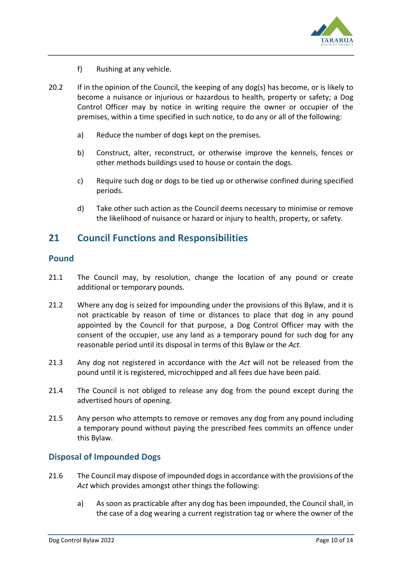

- f) Rushing at any vehicle.
- 20.2 If in the opinion of the Council, the keeping of any dog(s) has become, or is likely to become a nuisance or injurious or hazardous to health, property or safety; a Dog Control Officer may by notice in writing require the owner or occupier of the premises, within a time specified in such notice, to do any or all of the following:
	- a) Reduce the number of dogs kept on the premises.
	- b) Construct, alter, reconstruct, or otherwise improve the kennels, fences or other methods buildings used to house or contain the dogs.
	- c) Require such dog or dogs to be tied up or otherwise confined during specified periods.
	- d) Take other such action as the Council deems necessary to minimise or remove the likelihood of nuisance or hazard or injury to health, property, or safety.

## **21 Council Functions and Responsibilities**

#### **Pound**

- 21.1 The Council may, by resolution, change the location of any pound or create additional or temporary pounds.
- 21.2 Where any dog is seized for impounding under the provisions of this Bylaw, and it is not practicable by reason of time or distances to place that dog in any pound appointed by the Council for that purpose, a Dog Control Officer may with the consent of the occupier, use any land as a temporary pound for such dog for any reasonable period until its disposal in terms of this Bylaw or the *Act.*
- 21.3 Any dog not registered in accordance with the *Act* will not be released from the pound until it is registered, microchipped and all fees due have been paid.
- 21.4 The Council is not obliged to release any dog from the pound except during the advertised hours of opening.
- 21.5 Any person who attempts to remove or removes any dog from any pound including a temporary pound without paying the prescribed fees commits an offence under this Bylaw.

#### **Disposal of Impounded Dogs**

- 21.6 The Council may dispose of impounded dogs in accordance with the provisions of the *Act* which provides amongst other things the following:
	- a) As soon as practicable after any dog has been impounded, the Council shall, in the case of a dog wearing a current registration tag or where the owner of the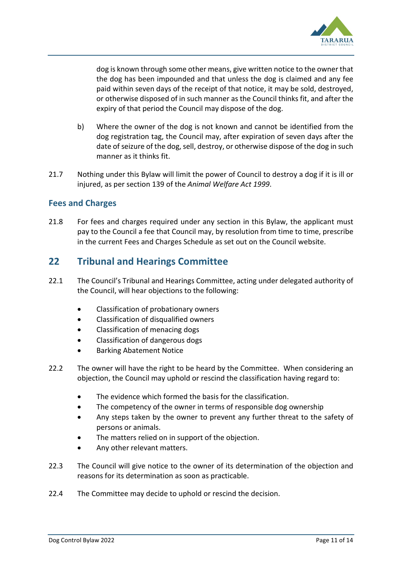

dog is known through some other means, give written notice to the owner that the dog has been impounded and that unless the dog is claimed and any fee paid within seven days of the receipt of that notice, it may be sold, destroyed, or otherwise disposed of in such manner as the Council thinks fit, and after the expiry of that period the Council may dispose of the dog.

- b) Where the owner of the dog is not known and cannot be identified from the dog registration tag, the Council may, after expiration of seven days after the date of seizure of the dog, sell, destroy, or otherwise dispose of the dog in such manner as it thinks fit.
- 21.7 Nothing under this Bylaw will limit the power of Council to destroy a dog if it is ill or injured, as per section 139 of the *Animal Welfare Act 1999*.

#### **Fees and Charges**

21.8 For fees and charges required under any section in this Bylaw, the applicant must pay to the Council a fee that Council may, by resolution from time to time, prescribe in the current Fees and Charges Schedule as set out on the Council website.

## **22 Tribunal and Hearings Committee**

- 22.1 The Council's Tribunal and Hearings Committee, acting under delegated authority of the Council, will hear objections to the following:
	- Classification of probationary owners
	- Classification of disqualified owners
	- Classification of menacing dogs
	- Classification of dangerous dogs
	- Barking Abatement Notice
- 22.2 The owner will have the right to be heard by the Committee. When considering an objection, the Council may uphold or rescind the classification having regard to:
	- The evidence which formed the basis for the classification.
	- The competency of the owner in terms of responsible dog ownership
	- Any steps taken by the owner to prevent any further threat to the safety of persons or animals.
	- The matters relied on in support of the objection.
	- Any other relevant matters.
- 22.3 The Council will give notice to the owner of its determination of the objection and reasons for its determination as soon as practicable.
- 22.4 The Committee may decide to uphold or rescind the decision.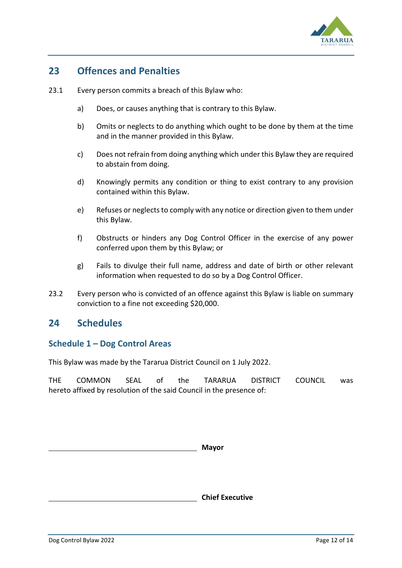

# **23 Offences and Penalties**

- 23.1 Every person commits a breach of this Bylaw who:
	- a) Does, or causes anything that is contrary to this Bylaw.
	- b) Omits or neglects to do anything which ought to be done by them at the time and in the manner provided in this Bylaw.
	- c) Does not refrain from doing anything which under this Bylaw they are required to abstain from doing.
	- d) Knowingly permits any condition or thing to exist contrary to any provision contained within this Bylaw.
	- e) Refuses or neglects to comply with any notice or direction given to them under this Bylaw.
	- f) Obstructs or hinders any Dog Control Officer in the exercise of any power conferred upon them by this Bylaw; or
	- g) Fails to divulge their full name, address and date of birth or other relevant information when requested to do so by a Dog Control Officer.
- 23.2 Every person who is convicted of an offence against this Bylaw is liable on summary conviction to a fine not exceeding \$20,000.

# **24 Schedules**

#### **Schedule 1 – Dog Control Areas**

This Bylaw was made by the Tararua District Council on 1 July 2022.

THE COMMON SEAL of the TARARUA DISTRICT COUNCIL was hereto affixed by resolution of the said Council in the presence of:

**Mayor**

**Chief Executive**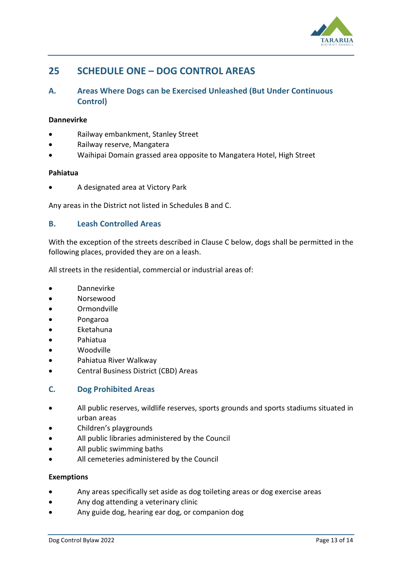

# **25 SCHEDULE ONE – DOG CONTROL AREAS**

#### **A. Areas Where Dogs can be Exercised Unleashed (But Under Continuous Control)**

#### **Dannevirke**

- Railway embankment, Stanley Street
- Railway reserve, Mangatera
- Waihipai Domain grassed area opposite to Mangatera Hotel, High Street

#### **Pahiatua**

• A designated area at Victory Park

Any areas in the District not listed in Schedules B and C.

#### **B. Leash Controlled Areas**

With the exception of the streets described in Clause C below, dogs shall be permitted in the following places, provided they are on a leash.

All streets in the residential, commercial or industrial areas of:

- Dannevirke
- Norsewood
- Ormondville
- Pongaroa
- Eketahuna
- Pahiatua
- Woodville
- Pahiatua River Walkway
- Central Business District (CBD) Areas

#### **C. Dog Prohibited Areas**

- All public reserves, wildlife reserves, sports grounds and sports stadiums situated in urban areas
- Children's playgrounds
- All public libraries administered by the Council
- All public swimming baths
- All cemeteries administered by the Council

#### **Exemptions**

- Any areas specifically set aside as dog toileting areas or dog exercise areas
- Any dog attending a veterinary clinic
- Any guide dog, hearing ear dog, or companion dog